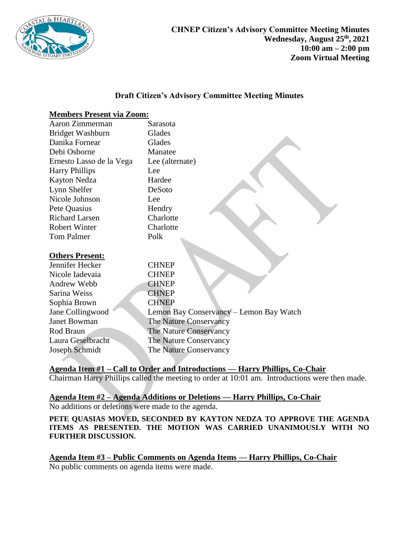

### **Draft Citizen's Advisory Committee Meeting Minutes**

# **Members Present via Zoom:**

| Aaron Zimmerman          | Sarasota                                |
|--------------------------|-----------------------------------------|
| Bridget Washburn         | Glades                                  |
| Danika Fornear           | Glades                                  |
| Debi Osborne             | Manatee                                 |
| Ernesto Lasso de la Vega | Lee (alternate)                         |
| <b>Harry Phillips</b>    | Lee                                     |
| Kayton Nedza             | Hardee                                  |
| Lynn Shelfer             | DeSoto                                  |
| Nicole Johnson           | Lee                                     |
| Pete Quasius             | Hendry                                  |
| <b>Richard Larsen</b>    | Charlotte                               |
| <b>Robert Winter</b>     | Charlotte                               |
| <b>Tom Palmer</b>        | Polk                                    |
|                          |                                         |
| <b>Others Present:</b>   |                                         |
| Jennifer Hecker          | <b>CHNEP</b>                            |
| Nicole Iadevaia          | <b>CHNEP</b>                            |
| Andrew Webb              | <b>CHNEP</b>                            |
| Sarina Weiss             | <b>CHNEP</b>                            |
| Sophia Brown             | <b>CHNEP</b>                            |
| Jane Collingwood         | Lemon Bay Conservancy - Lemon Bay Watch |
| <b>Janet Bowman</b>      | The Nature Conservancy                  |
| Rod Braun                | The Nature Conservancy                  |
| Laura Geselbracht        | The Nature Conservancy                  |
| Joseph Schmidt           | The Nature Conservancy                  |

**Agenda Item #1 – Call to Order and Introductions — Harry Phillips, Co-Chair**  Chairman Harry Phillips called the meeting to order at 10:01 am. Introductions were then made.

## **Agenda Item #2 – Agenda Additions or Deletions — Harry Phillips, Co-Chair** No additions or deletions were made to the agenda.

**PETE QUASIAS MOVED, SECONDED BY KAYTON NEDZA TO APPROVE THE AGENDA ITEMS AS PRESENTED. THE MOTION WAS CARRIED UNANIMOUSLY WITH NO FURTHER DISCUSSION.** 

**Agenda Item #3 – Public Comments on Agenda Items — Harry Phillips, Co-Chair** No public comments on agenda items were made.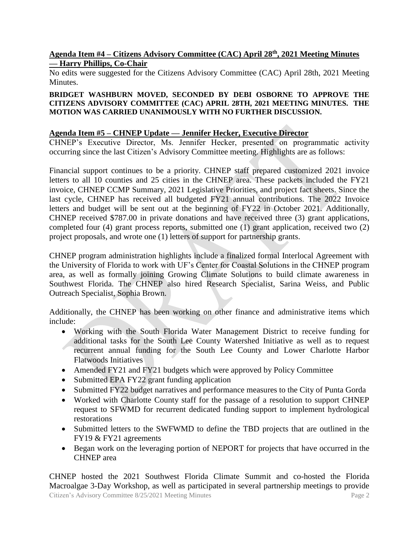## **Agenda Item #4 – Citizens Advisory Committee (CAC) April 28th, 2021 Meeting Minutes — Harry Phillips, Co-Chair**

No edits were suggested for the Citizens Advisory Committee (CAC) April 28th, 2021 Meeting Minutes.

#### **BRIDGET WASHBURN MOVED, SECONDED BY DEBI OSBORNE TO APPROVE THE CITIZENS ADVISORY COMMITTEE (CAC) APRIL 28TH, 2021 MEETING MINUTES. THE MOTION WAS CARRIED UNANIMOUSLY WITH NO FURTHER DISCUSSION.**

# **Agenda Item #5 – CHNEP Update — Jennifer Hecker, Executive Director**

CHNEP's Executive Director, Ms. Jennifer Hecker, presented on programmatic activity occurring since the last Citizen's Advisory Committee meeting. Highlights are as follows:

Financial support continues to be a priority. CHNEP staff prepared customized 2021 invoice letters to all 10 counties and 25 cities in the CHNEP area. These packets included the FY21 invoice, CHNEP CCMP Summary, 2021 Legislative Priorities, and project fact sheets. Since the last cycle, CHNEP has received all budgeted FY21 annual contributions. The 2022 Invoice letters and budget will be sent out at the beginning of FY22 in October 2021. Additionally, CHNEP received \$787.00 in private donations and have received three (3) grant applications, completed four (4) grant process reports, submitted one (1) grant application, received two (2) project proposals, and wrote one (1) letters of support for partnership grants.

CHNEP program administration highlights include a finalized formal Interlocal Agreement with the University of Florida to work with UF's Center for Coastal Solutions in the CHNEP program area, as well as formally joining Growing Climate Solutions to build climate awareness in Southwest Florida. The CHNEP also hired Research Specialist, Sarina Weiss, and Public Outreach Specialist, Sophia Brown.

Additionally, the CHNEP has been working on other finance and administrative items which include:

- Working with the South Florida Water Management District to receive funding for additional tasks for the South Lee County Watershed Initiative as well as to request recurrent annual funding for the South Lee County and Lower Charlotte Harbor Flatwoods Initiatives
- Amended FY21 and FY21 budgets which were approved by Policy Committee
- Submitted EPA FY22 grant funding application
- Submitted FY22 budget narratives and performance measures to the City of Punta Gorda
- Worked with Charlotte County staff for the passage of a resolution to support CHNEP request to SFWMD for recurrent dedicated funding support to implement hydrological restorations
- Submitted letters to the SWFWMD to define the TBD projects that are outlined in the FY19 & FY21 agreements
- Began work on the leveraging portion of NEPORT for projects that have occurred in the CHNEP area

Citizen's Advisory Committee 8/25/2021 Meeting Minutes Page 2 CHNEP hosted the 2021 Southwest Florida Climate Summit and co-hosted the Florida Macroalgae 3-Day Workshop, as well as participated in several partnership meetings to provide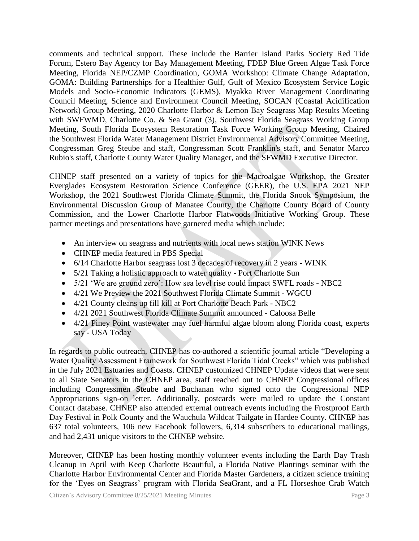comments and technical support. These include the Barrier Island Parks Society Red Tide Forum, Estero Bay Agency for Bay Management Meeting, FDEP Blue Green Algae Task Force Meeting, Florida NEP/CZMP Coordination, GOMA Workshop: Climate Change Adaptation, GOMA: Building Partnerships for a Healthier Gulf, Gulf of Mexico Ecosystem Service Logic Models and Socio-Economic Indicators (GEMS), Myakka River Management Coordinating Council Meeting, Science and Environment Council Meeting, SOCAN (Coastal Acidification Network) Group Meeting, 2020 Charlotte Harbor & Lemon Bay Seagrass Map Results Meeting with SWFWMD, Charlotte Co. & Sea Grant (3), Southwest Florida Seagrass Working Group Meeting, South Florida Ecosystem Restoration Task Force Working Group Meeting, Chaired the Southwest Florida Water Management District Environmental Advisory Committee Meeting, Congressman Greg Steube and staff, Congressman Scott Franklin's staff, and Senator Marco Rubio's staff, Charlotte County Water Quality Manager, and the SFWMD Executive Director.

CHNEP staff presented on a variety of topics for the Macroalgae Workshop, the Greater Everglades Ecosystem Restoration Science Conference (GEER), the U.S. EPA 2021 NEP Workshop, the 2021 Southwest Florida Climate Summit, the Florida Snook Symposium, the Environmental Discussion Group of Manatee County, the Charlotte County Board of County Commission, and the Lower Charlotte Harbor Flatwoods Initiative Working Group. These partner meetings and presentations have garnered media which include:

- An interview on seagrass and nutrients with local news station WINK News
- CHNEP media featured in PBS Special
- 6/14 Charlotte Harbor seagrass lost 3 decades of recovery in 2 years WINK
- 5/21 Taking a holistic approach to water quality Port Charlotte Sun
- 5/21 'We are ground zero': How sea level rise could impact SWFL roads NBC2
- 4/21 We Preview the 2021 Southwest Florida Climate Summit WGCU
- 4/21 County cleans up fill kill at Port Charlotte Beach Park NBC2
- 4/21 2021 Southwest Florida Climate Summit announced Caloosa Belle
- 4/21 Piney Point wastewater may fuel harmful algae bloom along Florida coast, experts say - USA Today

In regards to public outreach, CHNEP has co-authored a scientific journal article "Developing a Water Quality Assessment Framework for Southwest Florida Tidal Creeks" which was published in the July 2021 Estuaries and Coasts. CHNEP customized CHNEP Update videos that were sent to all State Senators in the CHNEP area, staff reached out to CHNEP Congressional offices including Congressmen Steube and Buchanan who signed onto the Congressional NEP Appropriations sign-on letter. Additionally, postcards were mailed to update the Constant Contact database. CHNEP also attended external outreach events including the Frostproof Earth Day Festival in Polk County and the Wauchula Wildcat Tailgate in Hardee County. CHNEP has 637 total volunteers, 106 new Facebook followers, 6,314 subscribers to educational mailings, and had 2,431 unique visitors to the CHNEP website.

Moreover, CHNEP has been hosting monthly volunteer events including the Earth Day Trash Cleanup in April with Keep Charlotte Beautiful, a Florida Native Plantings seminar with the Charlotte Harbor Environmental Center and Florida Master Gardeners, a citizen science training for the 'Eyes on Seagrass' program with Florida SeaGrant, and a FL Horseshoe Crab Watch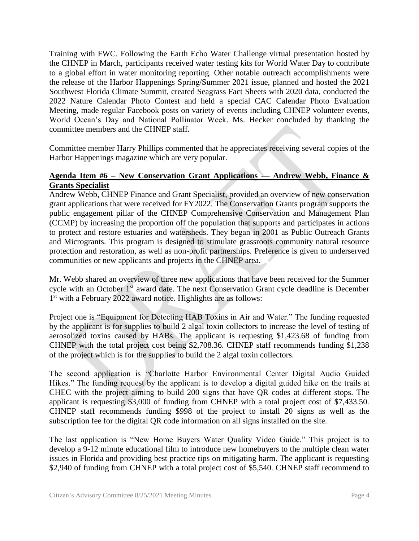Training with FWC. Following the Earth Echo Water Challenge virtual presentation hosted by the CHNEP in March, participants received water testing kits for World Water Day to contribute to a global effort in water monitoring reporting. Other notable outreach accomplishments were the release of the Harbor Happenings Spring/Summer 2021 issue, planned and hosted the 2021 Southwest Florida Climate Summit, created Seagrass Fact Sheets with 2020 data, conducted the 2022 Nature Calendar Photo Contest and held a special CAC Calendar Photo Evaluation Meeting, made regular Facebook posts on variety of events including CHNEP volunteer events, World Ocean's Day and National Pollinator Week. Ms. Hecker concluded by thanking the committee members and the CHNEP staff.

Committee member Harry Phillips commented that he appreciates receiving several copies of the Harbor Happenings magazine which are very popular.

## **Agenda Item #6 – New Conservation Grant Applications — Andrew Webb, Finance & Grants Specialist**

Andrew Webb, CHNEP Finance and Grant Specialist, provided an overview of new conservation grant applications that were received for FY2022. The Conservation Grants program supports the public engagement pillar of the CHNEP Comprehensive Conservation and Management Plan (CCMP) by increasing the proportion off the population that supports and participates in actions to protect and restore estuaries and watersheds. They began in 2001 as Public Outreach Grants and Microgrants. This program is designed to stimulate grassroots community natural resource protection and restoration, as well as non-profit partnerships. Preference is given to underserved communities or new applicants and projects in the CHNEP area.

Mr. Webb shared an overview of three new applications that have been received for the Summer cycle with an October 1<sup>st</sup> award date. The next Conservation Grant cycle deadline is December 1<sup>st</sup> with a February 2022 award notice. Highlights are as follows:

Project one is "Equipment for Detecting HAB Toxins in Air and Water." The funding requested by the applicant is for supplies to build 2 algal toxin collectors to increase the level of testing of aerosolized toxins caused by HABs. The applicant is requesting \$1,423.68 of funding from CHNEP with the total project cost being \$2,708.36. CHNEP staff recommends funding \$1,238 of the project which is for the supplies to build the 2 algal toxin collectors.

The second application is "Charlotte Harbor Environmental Center Digital Audio Guided Hikes." The funding request by the applicant is to develop a digital guided hike on the trails at CHEC with the project aiming to build 200 signs that have QR codes at different stops. The applicant is requesting \$3,000 of funding from CHNEP with a total project cost of \$7,433.50. CHNEP staff recommends funding \$998 of the project to install 20 signs as well as the subscription fee for the digital QR code information on all signs installed on the site.

The last application is "New Home Buyers Water Quality Video Guide." This project is to develop a 9-12 minute educational film to introduce new homebuyers to the multiple clean water issues in Florida and providing best practice tips on mitigating harm. The applicant is requesting \$2,940 of funding from CHNEP with a total project cost of \$5,540. CHNEP staff recommend to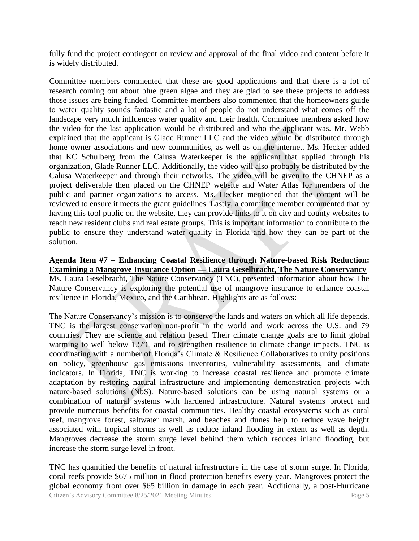fully fund the project contingent on review and approval of the final video and content before it is widely distributed.

Committee members commented that these are good applications and that there is a lot of research coming out about blue green algae and they are glad to see these projects to address those issues are being funded. Committee members also commented that the homeowners guide to water quality sounds fantastic and a lot of people do not understand what comes off the landscape very much influences water quality and their health. Committee members asked how the video for the last application would be distributed and who the applicant was. Mr. Webb explained that the applicant is Glade Runner LLC and the video would be distributed through home owner associations and new communities, as well as on the internet. Ms. Hecker added that KC Schulberg from the Calusa Waterkeeper is the applicant that applied through his organization, Glade Runner LLC. Additionally, the video will also probably be distributed by the Calusa Waterkeeper and through their networks. The video will be given to the CHNEP as a project deliverable then placed on the CHNEP website and Water Atlas for members of the public and partner organizations to access. Ms. Hecker mentioned that the content will be reviewed to ensure it meets the grant guidelines. Lastly, a committee member commented that by having this tool public on the website, they can provide links to it on city and county websites to reach new resident clubs and real estate groups. This is important information to contribute to the public to ensure they understand water quality in Florida and how they can be part of the solution.

#### **Agenda Item #7 – Enhancing Coastal Resilience through Nature-based Risk Reduction: Examining a Mangrove Insurance Option — Laura Geselbracht, The Nature Conservancy** Ms. Laura Geselbracht, The Nature Conservancy (TNC), presented information about how The Nature Conservancy is exploring the potential use of mangrove insurance to enhance coastal resilience in Florida, Mexico, and the Caribbean. Highlights are as follows:

The Nature Conservancy's mission is to conserve the lands and waters on which all life depends. TNC is the largest conservation non-profit in the world and work across the U.S. and 79 countries. They are science and relation based. Their climate change goals are to limit global warming to well below 1.5°C and to strengthen resilience to climate change impacts. TNC is coordinating with a number of Florida's Climate & Resilience Collaboratives to unify positions on policy, greenhouse gas emissions inventories, vulnerability assessments, and climate indicators. In Florida, TNC is working to increase coastal resilience and promote climate adaptation by restoring natural infrastructure and implementing demonstration projects with nature-based solutions (NbS). Nature-based solutions can be using natural systems or a combination of natural systems with hardened infrastructure. Natural systems protect and provide numerous benefits for coastal communities. Healthy coastal ecosystems such as coral reef, mangrove forest, saltwater marsh, and beaches and dunes help to reduce wave height associated with tropical storms as well as reduce inland flooding in extent as well as depth. Mangroves decrease the storm surge level behind them which reduces inland flooding, but increase the storm surge level in front.

Citizen's Advisory Committee 8/25/2021 Meeting Minutes Page 5 TNC has quantified the benefits of natural infrastructure in the case of storm surge. In Florida, coral reefs provide \$675 million in flood protection benefits every year. Mangroves protect the global economy from over \$65 billion in damage in each year. Additionally, a post-Hurricane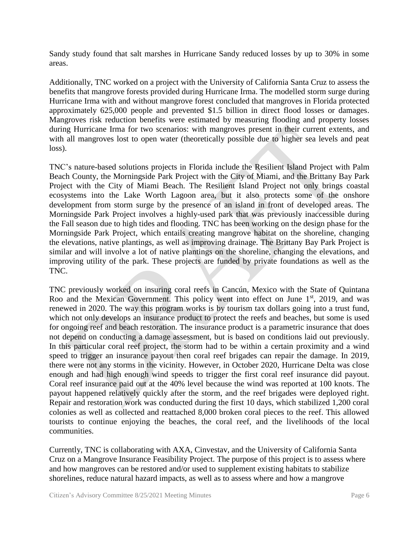Sandy study found that salt marshes in Hurricane Sandy reduced losses by up to 30% in some areas.

Additionally, TNC worked on a project with the University of California Santa Cruz to assess the benefits that mangrove forests provided during Hurricane Irma. The modelled storm surge during Hurricane Irma with and without mangrove forest concluded that mangroves in Florida protected approximately 625,000 people and prevented \$1.5 billion in direct flood losses or damages. Mangroves risk reduction benefits were estimated by measuring flooding and property losses during Hurricane Irma for two scenarios: with mangroves present in their current extents, and with all mangroves lost to open water (theoretically possible due to higher sea levels and peat loss).

TNC's nature-based solutions projects in Florida include the Resilient Island Project with Palm Beach County, the Morningside Park Project with the City of Miami, and the Brittany Bay Park Project with the City of Miami Beach. The Resilient Island Project not only brings coastal ecosystems into the Lake Worth Lagoon area, but it also protects some of the onshore development from storm surge by the presence of an island in front of developed areas. The Morningside Park Project involves a highly-used park that was previously inaccessible during the Fall season due to high tides and flooding. TNC has been working on the design phase for the Morningside Park Project, which entails creating mangrove habitat on the shoreline, changing the elevations, native plantings, as well as improving drainage. The Brittany Bay Park Project is similar and will involve a lot of native plantings on the shoreline, changing the elevations, and improving utility of the park. These projects are funded by private foundations as well as the TNC.

TNC previously worked on insuring coral reefs in Cancún, Mexico with the State of Quintana Roo and the Mexican Government. This policy went into effect on June  $1<sup>st</sup>$ , 2019, and was renewed in 2020. The way this program works is by tourism tax dollars going into a trust fund, which not only develops an insurance product to protect the reefs and beaches, but some is used for ongoing reef and beach restoration. The insurance product is a parametric insurance that does not depend on conducting a damage assessment, but is based on conditions laid out previously. In this particular coral reef project, the storm had to be within a certain proximity and a wind speed to trigger an insurance payout then coral reef brigades can repair the damage. In 2019, there were not any storms in the vicinity. However, in October 2020, Hurricane Delta was close enough and had high enough wind speeds to trigger the first coral reef insurance did payout. Coral reef insurance paid out at the 40% level because the wind was reported at 100 knots. The payout happened relatively quickly after the storm, and the reef brigades were deployed right. Repair and restoration work was conducted during the first 10 days, which stabilized 1,200 coral colonies as well as collected and reattached 8,000 broken coral pieces to the reef. This allowed tourists to continue enjoying the beaches, the coral reef, and the livelihoods of the local communities.

Currently, TNC is collaborating with AXA, Cinvestav, and the University of California Santa Cruz on a Mangrove Insurance Feasibility Project. The purpose of this project is to assess where and how mangroves can be restored and/or used to supplement existing habitats to stabilize shorelines, reduce natural hazard impacts, as well as to assess where and how a mangrove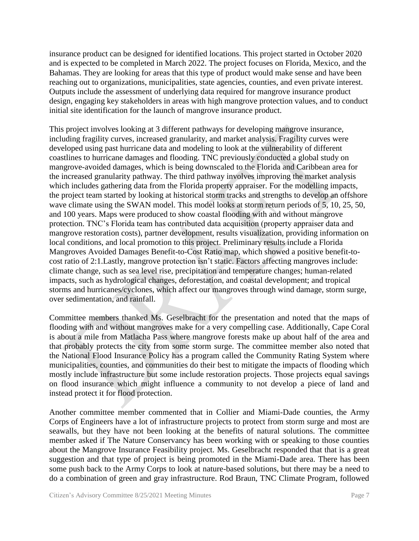insurance product can be designed for identified locations. This project started in October 2020 and is expected to be completed in March 2022. The project focuses on Florida, Mexico, and the Bahamas. They are looking for areas that this type of product would make sense and have been reaching out to organizations, municipalities, state agencies, counties, and even private interest. Outputs include the assessment of underlying data required for mangrove insurance product design, engaging key stakeholders in areas with high mangrove protection values, and to conduct initial site identification for the launch of mangrove insurance product.

This project involves looking at 3 different pathways for developing mangrove insurance, including fragility curves, increased granularity, and market analysis. Fragility curves were developed using past hurricane data and modeling to look at the vulnerability of different coastlines to hurricane damages and flooding. TNC previously conducted a global study on mangrove-avoided damages, which is being downscaled to the Florida and Caribbean area for the increased granularity pathway. The third pathway involves improving the market analysis which includes gathering data from the Florida property appraiser. For the modelling impacts, the project team started by looking at historical storm tracks and strengths to develop an offshore wave climate using the SWAN model. This model looks at storm return periods of 5, 10, 25, 50, and 100 years. Maps were produced to show coastal flooding with and without mangrove protection. TNC's Florida team has contributed data acquisition (property appraiser data and mangrove restoration costs), partner development, results visualization, providing information on local conditions, and local promotion to this project. Preliminary results include a Florida Mangroves Avoided Damages Benefit-to-Cost Ratio map, which showed a positive benefit-tocost ratio of 2:1.Lastly, mangrove protection isn't static. Factors affecting mangroves include: climate change, such as sea level rise, precipitation and temperature changes; human-related impacts, such as hydrological changes, deforestation, and coastal development; and tropical storms and hurricanes/cyclones, which affect our mangroves through wind damage, storm surge, over sedimentation, and rainfall.

Committee members thanked Ms. Geselbracht for the presentation and noted that the maps of flooding with and without mangroves make for a very compelling case. Additionally, Cape Coral is about a mile from Matlacha Pass where mangrove forests make up about half of the area and that probably protects the city from some storm surge. The committee member also noted that the National Flood Insurance Policy has a program called the Community Rating System where municipalities, counties, and communities do their best to mitigate the impacts of flooding which mostly include infrastructure but some include restoration projects. Those projects equal savings on flood insurance which might influence a community to not develop a piece of land and instead protect it for flood protection.

Another committee member commented that in Collier and Miami-Dade counties, the Army Corps of Engineers have a lot of infrastructure projects to protect from storm surge and most are seawalls, but they have not been looking at the benefits of natural solutions. The committee member asked if The Nature Conservancy has been working with or speaking to those counties about the Mangrove Insurance Feasibility project. Ms. Geselbracht responded that that is a great suggestion and that type of project is being promoted in the Miami-Dade area. There has been some push back to the Army Corps to look at nature-based solutions, but there may be a need to do a combination of green and gray infrastructure. Rod Braun, TNC Climate Program, followed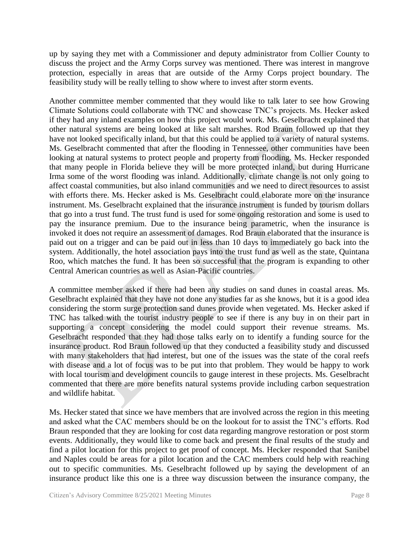up by saying they met with a Commissioner and deputy administrator from Collier County to discuss the project and the Army Corps survey was mentioned. There was interest in mangrove protection, especially in areas that are outside of the Army Corps project boundary. The feasibility study will be really telling to show where to invest after storm events.

Another committee member commented that they would like to talk later to see how Growing Climate Solutions could collaborate with TNC and showcase TNC's projects. Ms. Hecker asked if they had any inland examples on how this project would work. Ms. Geselbracht explained that other natural systems are being looked at like salt marshes. Rod Braun followed up that they have not looked specifically inland, but that this could be applied to a variety of natural systems. Ms. Geselbracht commented that after the flooding in Tennessee, other communities have been looking at natural systems to protect people and property from flooding. Ms. Hecker responded that many people in Florida believe they will be more protected inland, but during Hurricane Irma some of the worst flooding was inland. Additionally, climate change is not only going to affect coastal communities, but also inland communities and we need to direct resources to assist with efforts there. Ms. Hecker asked is Ms. Geselbracht could elaborate more on the insurance instrument. Ms. Geselbracht explained that the insurance instrument is funded by tourism dollars that go into a trust fund. The trust fund is used for some ongoing restoration and some is used to pay the insurance premium. Due to the insurance being parametric, when the insurance is invoked it does not require an assessment of damages. Rod Braun elaborated that the insurance is paid out on a trigger and can be paid out in less than 10 days to immediately go back into the system. Additionally, the hotel association pays into the trust fund as well as the state, Quintana Roo, which matches the fund. It has been so successful that the program is expanding to other Central American countries as well as Asian-Pacific countries.

A committee member asked if there had been any studies on sand dunes in coastal areas. Ms. Geselbracht explained that they have not done any studies far as she knows, but it is a good idea considering the storm surge protection sand dunes provide when vegetated. Ms. Hecker asked if TNC has talked with the tourist industry people to see if there is any buy in on their part in supporting a concept considering the model could support their revenue streams. Ms. Geselbracht responded that they had those talks early on to identify a funding source for the insurance product. Rod Braun followed up that they conducted a feasibility study and discussed with many stakeholders that had interest, but one of the issues was the state of the coral reefs with disease and a lot of focus was to be put into that problem. They would be happy to work with local tourism and development councils to gauge interest in these projects. Ms. Geselbracht commented that there are more benefits natural systems provide including carbon sequestration and wildlife habitat.

Ms. Hecker stated that since we have members that are involved across the region in this meeting and asked what the CAC members should be on the lookout for to assist the TNC's efforts. Rod Braun responded that they are looking for cost data regarding mangrove restoration or post storm events. Additionally, they would like to come back and present the final results of the study and find a pilot location for this project to get proof of concept. Ms. Hecker responded that Sanibel and Naples could be areas for a pilot location and the CAC members could help with reaching out to specific communities. Ms. Geselbracht followed up by saying the development of an insurance product like this one is a three way discussion between the insurance company, the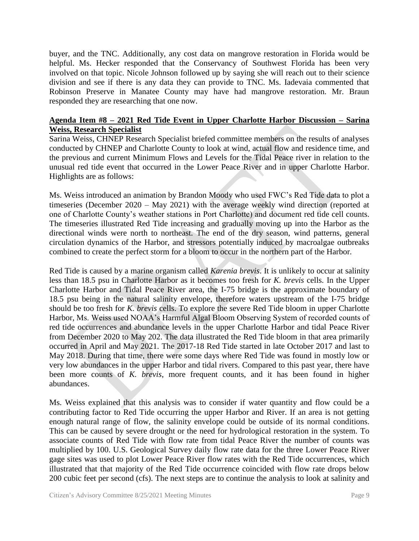buyer, and the TNC. Additionally, any cost data on mangrove restoration in Florida would be helpful. Ms. Hecker responded that the Conservancy of Southwest Florida has been very involved on that topic. Nicole Johnson followed up by saying she will reach out to their science division and see if there is any data they can provide to TNC. Ms. Iadevaia commented that Robinson Preserve in Manatee County may have had mangrove restoration. Mr. Braun responded they are researching that one now.

#### **Agenda Item #8 – 2021 Red Tide Event in Upper Charlotte Harbor Discussion – Sarina Weiss, Research Specialist**

Sarina Weiss, CHNEP Research Specialist briefed committee members on the results of analyses conducted by CHNEP and Charlotte County to look at wind, actual flow and residence time, and the previous and current Minimum Flows and Levels for the Tidal Peace river in relation to the unusual red tide event that occurred in the Lower Peace River and in upper Charlotte Harbor. Highlights are as follows:

Ms. Weiss introduced an animation by Brandon Moody who used FWC's Red Tide data to plot a timeseries (December 2020 – May 2021) with the average weekly wind direction (reported at one of Charlotte County's weather stations in Port Charlotte) and document red tide cell counts. The timeseries illustrated Red Tide increasing and gradually moving up into the Harbor as the directional winds were north to northeast. The end of the dry season, wind patterns, general circulation dynamics of the Harbor, and stressors potentially induced by macroalgae outbreaks combined to create the perfect storm for a bloom to occur in the northern part of the Harbor.

Red Tide is caused by a marine organism called *Karenia brevis*. It is unlikely to occur at salinity less than 18.5 psu in Charlotte Harbor as it becomes too fresh for *K. brevis* cells. In the Upper Charlotte Harbor and Tidal Peace River area, the I-75 bridge is the approximate boundary of 18.5 psu being in the natural salinity envelope, therefore waters upstream of the I-75 bridge should be too fresh for *K. brevis* cells. To explore the severe Red Tide bloom in upper Charlotte Harbor, Ms. Weiss used NOAA's Harmful Algal Bloom Observing System of recorded counts of red tide occurrences and abundance levels in the upper Charlotte Harbor and tidal Peace River from December 2020 to May 202. The data illustrated the Red Tide bloom in that area primarily occurred in April and May 2021. The 2017-18 Red Tide started in late October 2017 and last to May 2018. During that time, there were some days where Red Tide was found in mostly low or very low abundances in the upper Harbor and tidal rivers. Compared to this past year, there have been more counts of *K. brevis*, more frequent counts, and it has been found in higher abundances.

Ms. Weiss explained that this analysis was to consider if water quantity and flow could be a contributing factor to Red Tide occurring the upper Harbor and River. If an area is not getting enough natural range of flow, the salinity envelope could be outside of its normal conditions. This can be caused by severe drought or the need for hydrological restoration in the system. To associate counts of Red Tide with flow rate from tidal Peace River the number of counts was multiplied by 100. U.S. Geological Survey daily flow rate data for the three Lower Peace River gage sites was used to plot Lower Peace River flow rates with the Red Tide occurrences, which illustrated that that majority of the Red Tide occurrence coincided with flow rate drops below 200 cubic feet per second (cfs). The next steps are to continue the analysis to look at salinity and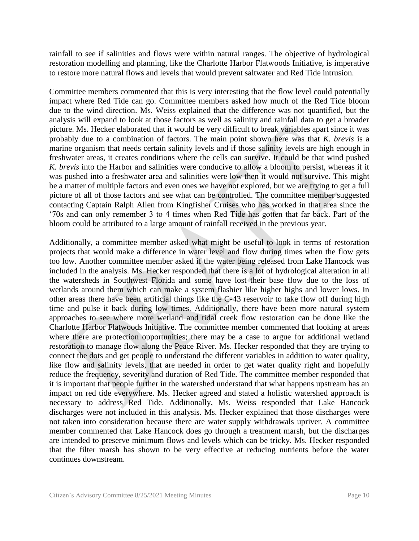rainfall to see if salinities and flows were within natural ranges. The objective of hydrological restoration modelling and planning, like the Charlotte Harbor Flatwoods Initiative, is imperative to restore more natural flows and levels that would prevent saltwater and Red Tide intrusion.

Committee members commented that this is very interesting that the flow level could potentially impact where Red Tide can go. Committee members asked how much of the Red Tide bloom due to the wind direction. Ms. Weiss explained that the difference was not quantified, but the analysis will expand to look at those factors as well as salinity and rainfall data to get a broader picture. Ms. Hecker elaborated that it would be very difficult to break variables apart since it was probably due to a combination of factors. The main point shown here was that *K. brevis* is a marine organism that needs certain salinity levels and if those salinity levels are high enough in freshwater areas, it creates conditions where the cells can survive. It could be that wind pushed *K. brevis* into the Harbor and salinities were conducive to allow a bloom to persist, whereas if it was pushed into a freshwater area and salinities were low then it would not survive. This might be a matter of multiple factors and even ones we have not explored, but we are trying to get a full picture of all of those factors and see what can be controlled. The committee member suggested contacting Captain Ralph Allen from Kingfisher Cruises who has worked in that area since the '70s and can only remember 3 to 4 times when Red Tide has gotten that far back. Part of the bloom could be attributed to a large amount of rainfall received in the previous year.

Additionally, a committee member asked what might be useful to look in terms of restoration projects that would make a difference in water level and flow during times when the flow gets too low. Another committee member asked if the water being released from Lake Hancock was included in the analysis. Ms. Hecker responded that there is a lot of hydrological alteration in all the watersheds in Southwest Florida and some have lost their base flow due to the loss of wetlands around them which can make a system flashier like higher highs and lower lows. In other areas there have been artificial things like the C-43 reservoir to take flow off during high time and pulse it back during low times. Additionally, there have been more natural system approaches to see where more wetland and tidal creek flow restoration can be done like the Charlotte Harbor Flatwoods Initiative. The committee member commented that looking at areas where there are protection opportunities; there may be a case to argue for additional wetland restoration to manage flow along the Peace River. Ms. Hecker responded that they are trying to connect the dots and get people to understand the different variables in addition to water quality, like flow and salinity levels, that are needed in order to get water quality right and hopefully reduce the frequency, severity and duration of Red Tide. The committee member responded that it is important that people further in the watershed understand that what happens upstream has an impact on red tide everywhere. Ms. Hecker agreed and stated a holistic watershed approach is necessary to address Red Tide. Additionally, Ms. Weiss responded that Lake Hancock discharges were not included in this analysis. Ms. Hecker explained that those discharges were not taken into consideration because there are water supply withdrawals upriver. A committee member commented that Lake Hancock does go through a treatment marsh, but the discharges are intended to preserve minimum flows and levels which can be tricky. Ms. Hecker responded that the filter marsh has shown to be very effective at reducing nutrients before the water continues downstream.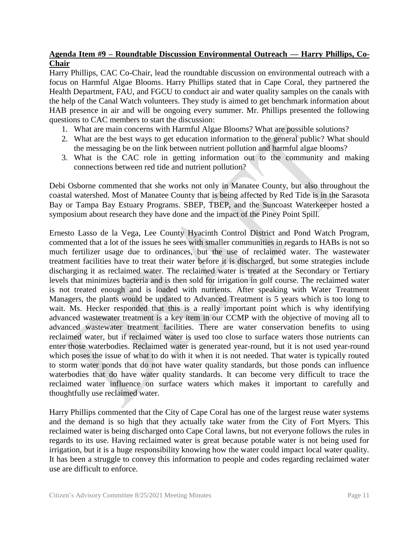### **Agenda Item #9 – Roundtable Discussion Environmental Outreach — Harry Phillips, Co-Chair**

Harry Phillips, CAC Co-Chair, lead the roundtable discussion on environmental outreach with a focus on Harmful Algae Blooms. Harry Phillips stated that in Cape Coral, they partnered the Health Department, FAU, and FGCU to conduct air and water quality samples on the canals with the help of the Canal Watch volunteers. They study is aimed to get benchmark information about HAB presence in air and will be ongoing every summer. Mr. Phillips presented the following questions to CAC members to start the discussion:

- 1. What are main concerns with Harmful Algae Blooms? What are possible solutions?
- 2. What are the best ways to get education information to the general public? What should the messaging be on the link between nutrient pollution and harmful algae blooms?
- 3. What is the CAC role in getting information out to the community and making connections between red tide and nutrient pollution?

Debi Osborne commented that she works not only in Manatee County, but also throughout the coastal watershed. Most of Manatee County that is being affected by Red Tide is in the Sarasota Bay or Tampa Bay Estuary Programs. SBEP, TBEP, and the Suncoast Waterkeeper hosted a symposium about research they have done and the impact of the Piney Point Spill.

Ernesto Lasso de la Vega, Lee County Hyacinth Control District and Pond Watch Program, commented that a lot of the issues he sees with smaller communities in regards to HABs is not so much fertilizer usage due to ordinances, but the use of reclaimed water. The wastewater treatment facilities have to treat their water before it is discharged, but some strategies include discharging it as reclaimed water. The reclaimed water is treated at the Secondary or Tertiary levels that minimizes bacteria and is then sold for irrigation in golf course. The reclaimed water is not treated enough and is loaded with nutrients. After speaking with Water Treatment Managers, the plants would be updated to Advanced Treatment is 5 years which is too long to wait. Ms. Hecker responded that this is a really important point which is why identifying advanced wastewater treatment is a key item in our CCMP with the objective of moving all to advanced wastewater treatment facilities. There are water conservation benefits to using reclaimed water, but if reclaimed water is used too close to surface waters those nutrients can enter those waterbodies. Reclaimed water is generated year-round, but it is not used year-round which poses the issue of what to do with it when it is not needed. That water is typically routed to storm water ponds that do not have water quality standards, but those ponds can influence waterbodies that do have water quality standards. It can become very difficult to trace the reclaimed water influence on surface waters which makes it important to carefully and thoughtfully use reclaimed water.

Harry Phillips commented that the City of Cape Coral has one of the largest reuse water systems and the demand is so high that they actually take water from the City of Fort Myers. This reclaimed water is being discharged onto Cape Coral lawns, but not everyone follows the rules in regards to its use. Having reclaimed water is great because potable water is not being used for irrigation, but it is a huge responsibility knowing how the water could impact local water quality. It has been a struggle to convey this information to people and codes regarding reclaimed water use are difficult to enforce.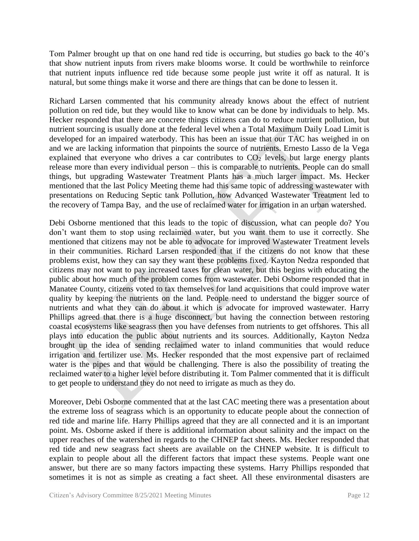Tom Palmer brought up that on one hand red tide is occurring, but studies go back to the 40's that show nutrient inputs from rivers make blooms worse. It could be worthwhile to reinforce that nutrient inputs influence red tide because some people just write it off as natural. It is natural, but some things make it worse and there are things that can be done to lessen it.

Richard Larsen commented that his community already knows about the effect of nutrient pollution on red tide, but they would like to know what can be done by individuals to help. Ms. Hecker responded that there are concrete things citizens can do to reduce nutrient pollution, but nutrient sourcing is usually done at the federal level when a Total Maximum Daily Load Limit is developed for an impaired waterbody. This has been an issue that our TAC has weighed in on and we are lacking information that pinpoints the source of nutrients. Ernesto Lasso de la Vega explained that everyone who drives a car contributes to  $CO<sub>2</sub>$  levels, but large energy plants release more than every individual person – this is comparable to nutrients. People can do small things, but upgrading Wastewater Treatment Plants has a much larger impact. Ms. Hecker mentioned that the last Policy Meeting theme had this same topic of addressing wastewater with presentations on Reducing Septic tank Pollution, how Advanced Wastewater Treatment led to the recovery of Tampa Bay, and the use of reclaimed water for irrigation in an urban watershed.

Debi Osborne mentioned that this leads to the topic of discussion, what can people do? You don't want them to stop using reclaimed water, but you want them to use it correctly. She mentioned that citizens may not be able to advocate for improved Wastewater Treatment levels in their communities. Richard Larsen responded that if the citizens do not know that these problems exist, how they can say they want these problems fixed. Kayton Nedza responded that citizens may not want to pay increased taxes for clean water, but this begins with educating the public about how much of the problem comes from wastewater. Debi Osborne responded that in Manatee County, citizens voted to tax themselves for land acquisitions that could improve water quality by keeping the nutrients on the land. People need to understand the bigger source of nutrients and what they can do about it which is advocate for improved wastewater. Harry Phillips agreed that there is a huge disconnect, but having the connection between restoring coastal ecosystems like seagrass then you have defenses from nutrients to get offshores. This all plays into education the public about nutrients and its sources. Additionally, Kayton Nedza brought up the idea of sending reclaimed water to inland communities that would reduce irrigation and fertilizer use. Ms. Hecker responded that the most expensive part of reclaimed water is the pipes and that would be challenging. There is also the possibility of treating the reclaimed water to a higher level before distributing it. Tom Palmer commented that it is difficult to get people to understand they do not need to irrigate as much as they do.

Moreover, Debi Osborne commented that at the last CAC meeting there was a presentation about the extreme loss of seagrass which is an opportunity to educate people about the connection of red tide and marine life. Harry Phillips agreed that they are all connected and it is an important point. Ms. Osborne asked if there is additional information about salinity and the impact on the upper reaches of the watershed in regards to the CHNEP fact sheets. Ms. Hecker responded that red tide and new seagrass fact sheets are available on the CHNEP website. It is difficult to explain to people about all the different factors that impact these systems. People want one answer, but there are so many factors impacting these systems. Harry Phillips responded that sometimes it is not as simple as creating a fact sheet. All these environmental disasters are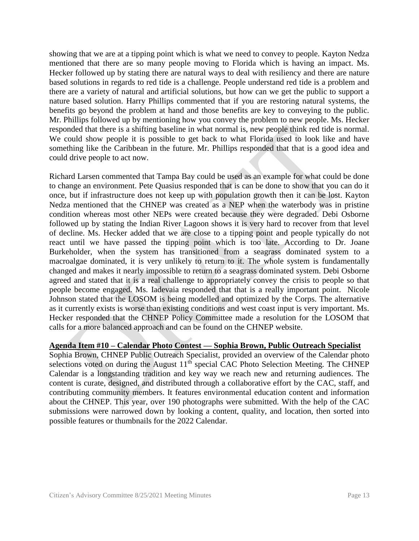showing that we are at a tipping point which is what we need to convey to people. Kayton Nedza mentioned that there are so many people moving to Florida which is having an impact. Ms. Hecker followed up by stating there are natural ways to deal with resiliency and there are nature based solutions in regards to red tide is a challenge. People understand red tide is a problem and there are a variety of natural and artificial solutions, but how can we get the public to support a nature based solution. Harry Phillips commented that if you are restoring natural systems, the benefits go beyond the problem at hand and those benefits are key to conveying to the public. Mr. Phillips followed up by mentioning how you convey the problem to new people. Ms. Hecker responded that there is a shifting baseline in what normal is, new people think red tide is normal. We could show people it is possible to get back to what Florida used to look like and have something like the Caribbean in the future. Mr. Phillips responded that that is a good idea and could drive people to act now.

Richard Larsen commented that Tampa Bay could be used as an example for what could be done to change an environment. Pete Quasius responded that is can be done to show that you can do it once, but if infrastructure does not keep up with population growth then it can be lost. Kayton Nedza mentioned that the CHNEP was created as a NEP when the waterbody was in pristine condition whereas most other NEPs were created because they were degraded. Debi Osborne followed up by stating the Indian River Lagoon shows it is very hard to recover from that level of decline. Ms. Hecker added that we are close to a tipping point and people typically do not react until we have passed the tipping point which is too late. According to Dr. Joane Burkeholder, when the system has transitioned from a seagrass dominated system to a macroalgae dominated, it is very unlikely to return to it. The whole system is fundamentally changed and makes it nearly impossible to return to a seagrass dominated system. Debi Osborne agreed and stated that it is a real challenge to appropriately convey the crisis to people so that people become engaged. Ms. Iadevaia responded that that is a really important point. Nicole Johnson stated that the LOSOM is being modelled and optimized by the Corps. The alternative as it currently exists is worse than existing conditions and west coast input is very important. Ms. Hecker responded that the CHNEP Policy Committee made a resolution for the LOSOM that calls for a more balanced approach and can be found on the CHNEP website.

#### **Agenda Item #10 – Calendar Photo Contest — Sophia Brown, Public Outreach Specialist**

Sophia Brown, CHNEP Public Outreach Specialist, provided an overview of the Calendar photo selections voted on during the August  $11<sup>th</sup>$  special CAC Photo Selection Meeting. The CHNEP Calendar is a longstanding tradition and key way we reach new and returning audiences. The content is curate, designed, and distributed through a collaborative effort by the CAC, staff, and contributing community members. It features environmental education content and information about the CHNEP. This year, over 190 photographs were submitted. With the help of the CAC submissions were narrowed down by looking a content, quality, and location, then sorted into possible features or thumbnails for the 2022 Calendar.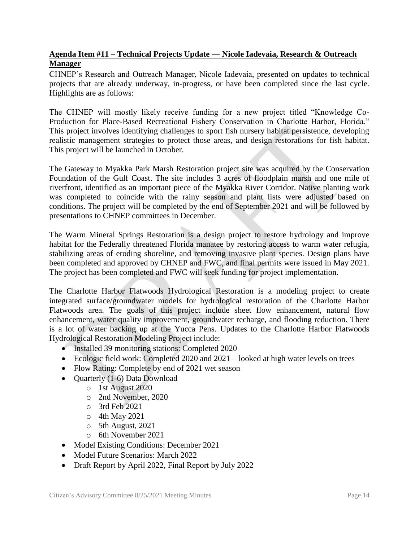# **Agenda Item #11 – Technical Projects Update — Nicole Iadevaia, Research & Outreach Manager**

CHNEP's Research and Outreach Manager, Nicole Iadevaia, presented on updates to technical projects that are already underway, in-progress, or have been completed since the last cycle. Highlights are as follows:

The CHNEP will mostly likely receive funding for a new project titled "Knowledge Co-Production for Place-Based Recreational Fishery Conservation in Charlotte Harbor, Florida." This project involves identifying challenges to sport fish nursery habitat persistence, developing realistic management strategies to protect those areas, and design restorations for fish habitat. This project will be launched in October.

The Gateway to Myakka Park Marsh Restoration project site was acquired by the Conservation Foundation of the Gulf Coast. The site includes 3 acres of floodplain marsh and one mile of riverfront, identified as an important piece of the Myakka River Corridor. Native planting work was completed to coincide with the rainy season and plant lists were adjusted based on conditions. The project will be completed by the end of September 2021 and will be followed by presentations to CHNEP committees in December.

The Warm Mineral Springs Restoration is a design project to restore hydrology and improve habitat for the Federally threatened Florida manatee by restoring access to warm water refugia, stabilizing areas of eroding shoreline, and removing invasive plant species. Design plans have been completed and approved by CHNEP and FWC, and final permits were issued in May 2021. The project has been completed and FWC will seek funding for project implementation.

The Charlotte Harbor Flatwoods Hydrological Restoration is a modeling project to create integrated surface/groundwater models for hydrological restoration of the Charlotte Harbor Flatwoods area. The goals of this project include sheet flow enhancement, natural flow enhancement, water quality improvement, groundwater recharge, and flooding reduction. There is a lot of water backing up at the Yucca Pens. Updates to the Charlotte Harbor Flatwoods Hydrological Restoration Modeling Project include:

- Installed 39 monitoring stations: Completed 2020
- Ecologic field work: Completed 2020 and 2021 looked at high water levels on trees
- Flow Rating: Complete by end of 2021 wet season
- Quarterly  $(1-6)$  Data Download
	- o 1st August 2020
	- o 2nd November, 2020
	- o 3rd Feb 2021
	- o 4th May 2021
	- o 5th August, 2021
	- o 6th November 2021
- Model Existing Conditions: December 2021
- Model Future Scenarios: March 2022
- Draft Report by April 2022, Final Report by July 2022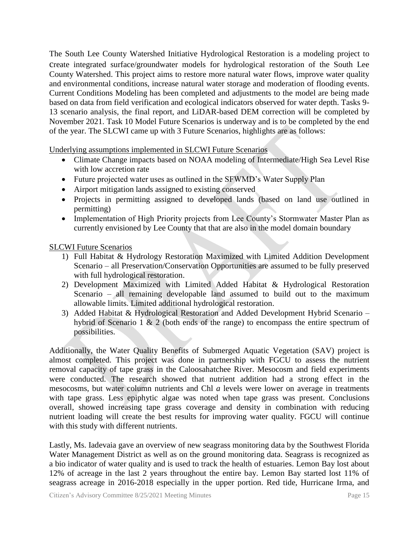The South Lee County Watershed Initiative Hydrological Restoration is a modeling project to create integrated surface/groundwater models for hydrological restoration of the South Lee County Watershed. This project aims to restore more natural water flows, improve water quality and environmental conditions, increase natural water storage and moderation of flooding events. Current Conditions Modeling has been completed and adjustments to the model are being made based on data from field verification and ecological indicators observed for water depth. Tasks 9- 13 scenario analysis, the final report, and LiDAR-based DEM correction will be completed by November 2021. Task 10 Model Future Scenarios is underway and is to be completed by the end of the year. The SLCWI came up with 3 Future Scenarios, highlights are as follows:

Underlying assumptions implemented in SLCWI Future Scenarios

- Climate Change impacts based on NOAA modeling of Intermediate/High Sea Level Rise with low accretion rate
- Future projected water uses as outlined in the SFWMD's Water Supply Plan
- Airport mitigation lands assigned to existing conserved
- Projects in permitting assigned to developed lands (based on land use outlined in permitting)
- Implementation of High Priority projects from Lee County's Stormwater Master Plan as currently envisioned by Lee County that that are also in the model domain boundary

SLCWI Future Scenarios

- 1) Full Habitat & Hydrology Restoration Maximized with Limited Addition Development Scenario – all Preservation/Conservation Opportunities are assumed to be fully preserved with full hydrological restoration.
- 2) Development Maximized with Limited Added Habitat & Hydrological Restoration Scenario – all remaining developable land assumed to build out to the maximum allowable limits. Limited additional hydrological restoration.
- 3) Added Habitat & Hydrological Restoration and Added Development Hybrid Scenario hybrid of Scenario 1 & 2 (both ends of the range) to encompass the entire spectrum of possibilities.

Additionally, the Water Quality Benefits of Submerged Aquatic Vegetation (SAV) project is almost completed. This project was done in partnership with FGCU to assess the nutrient removal capacity of tape grass in the Caloosahatchee River. Mesocosm and field experiments were conducted. The research showed that nutrient addition had a strong effect in the mesocosms, but water column nutrients and Chl *a* levels were lower on average in treatments with tape grass. Less epiphytic algae was noted when tape grass was present. Conclusions overall, showed increasing tape grass coverage and density in combination with reducing nutrient loading will create the best results for improving water quality. FGCU will continue with this study with different nutrients.

Lastly, Ms. Iadevaia gave an overview of new seagrass monitoring data by the Southwest Florida Water Management District as well as on the ground monitoring data. Seagrass is recognized as a bio indicator of water quality and is used to track the health of estuaries. Lemon Bay lost about 12% of acreage in the last 2 years throughout the entire bay. Lemon Bay started lost 11% of seagrass acreage in 2016-2018 especially in the upper portion. Red tide, Hurricane Irma, and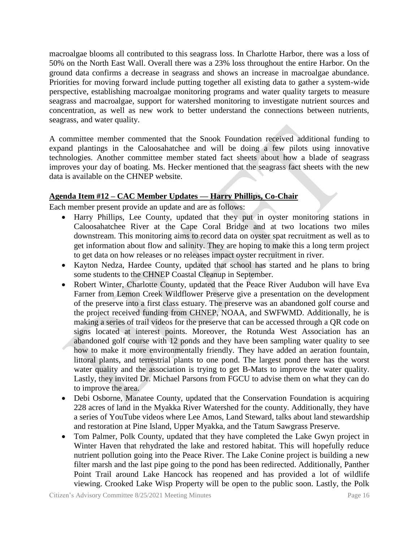macroalgae blooms all contributed to this seagrass loss. In Charlotte Harbor, there was a loss of 50% on the North East Wall. Overall there was a 23% loss throughout the entire Harbor. On the ground data confirms a decrease in seagrass and shows an increase in macroalgae abundance. Priorities for moving forward include putting together all existing data to gather a system-wide perspective, establishing macroalgae monitoring programs and water quality targets to measure seagrass and macroalgae, support for watershed monitoring to investigate nutrient sources and concentration, as well as new work to better understand the connections between nutrients, seagrass, and water quality.

A committee member commented that the Snook Foundation received additional funding to expand plantings in the Caloosahatchee and will be doing a few pilots using innovative technologies. Another committee member stated fact sheets about how a blade of seagrass improves your day of boating. Ms. Hecker mentioned that the seagrass fact sheets with the new data is available on the CHNEP website.

# **Agenda Item #12 – CAC Member Updates — Harry Phillips, Co-Chair**

Each member present provide an update and are as follows:

- Harry Phillips, Lee County, updated that they put in oyster monitoring stations in Caloosahatchee River at the Cape Coral Bridge and at two locations two miles downstream. This monitoring aims to record data on oyster spat recruitment as well as to get information about flow and salinity. They are hoping to make this a long term project to get data on how releases or no releases impact oyster recruitment in river.
- Kayton Nedza, Hardee County, updated that school has started and he plans to bring some students to the CHNEP Coastal Cleanup in September.
- Robert Winter, Charlotte County, updated that the Peace River Audubon will have Eva Farner from Lemon Creek Wildflower Preserve give a presentation on the development of the preserve into a first class estuary. The preserve was an abandoned golf course and the project received funding from CHNEP, NOAA, and SWFWMD. Additionally, he is making a series of trail videos for the preserve that can be accessed through a QR code on signs located at interest points. Moreover, the Rotunda West Association has an abandoned golf course with 12 ponds and they have been sampling water quality to see how to make it more environmentally friendly. They have added an aeration fountain, littoral plants, and terrestrial plants to one pond. The largest pond there has the worst water quality and the association is trying to get B-Mats to improve the water quality. Lastly, they invited Dr. Michael Parsons from FGCU to advise them on what they can do to improve the area.
- Debi Osborne, Manatee County, updated that the Conservation Foundation is acquiring 228 acres of land in the Myakka River Watershed for the county. Additionally, they have a series of YouTube videos where Lee Amos, Land Steward, talks about land stewardship and restoration at Pine Island, Upper Myakka, and the Tatum Sawgrass Preserve.
- Tom Palmer, Polk County, updated that they have completed the Lake Gwyn project in Winter Haven that rehydrated the lake and restored habitat. This will hopefully reduce nutrient pollution going into the Peace River. The Lake Conine project is building a new filter marsh and the last pipe going to the pond has been redirected. Additionally, Panther Point Trail around Lake Hancock has reopened and has provided a lot of wildlife viewing. Crooked Lake Wisp Property will be open to the public soon. Lastly, the Polk